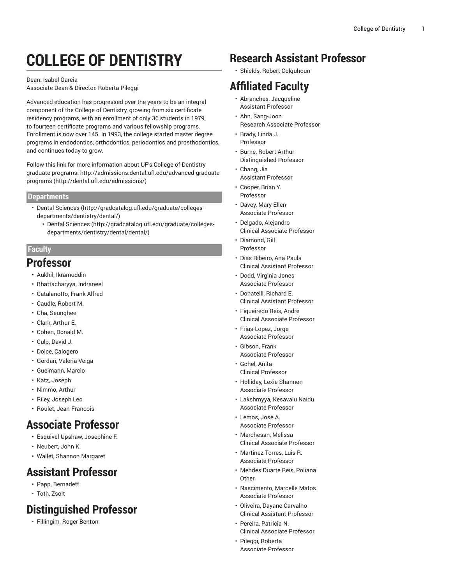# **COLLEGE OF DENTISTRY**

#### Dean: Isabel Garcia

Associate Dean & Director: Roberta Pileggi

Advanced education has progressed over the years to be an integral component of the College of Dentistry, growing from six certificate residency programs, with an enrollment of only 36 students in 1979, to fourteen certificate programs and various fellowship programs. Enrollment is now over 145. In 1993, the college started master degree programs in endodontics, orthodontics, periodontics and prosthodontics, and continues today to grow.

Follow this link for more information about UF's College of Dentistry graduate programs: [http://admissions.dental.ufl.edu/advanced-graduate](http://dental.ufl.edu/admissions/)[programs \(http://dental.ufl.edu/admissions/](http://dental.ufl.edu/admissions/))

#### **Departments**

- [Dental Sciences \(http://gradcatalog.ufl.edu/graduate/colleges](http://gradcatalog.ufl.edu/graduate/colleges-departments/dentistry/dental/)[departments/dentistry/dental/](http://gradcatalog.ufl.edu/graduate/colleges-departments/dentistry/dental/))
	- [Dental Sciences \(http://gradcatalog.ufl.edu/graduate/colleges](http://gradcatalog.ufl.edu/graduate/colleges-departments/dentistry/dental/dental/)[departments/dentistry/dental/dental/](http://gradcatalog.ufl.edu/graduate/colleges-departments/dentistry/dental/dental/))

#### **Faculty**

#### **Professor**

- Aukhil, Ikramuddin
- Bhattacharyya, Indraneel
- Catalanotto, Frank Alfred
- Caudle, Robert M.
- Cha, Seunghee
- Clark, Arthur E.
- Cohen, Donald M.
- Culp, David J.
- Dolce, Calogero
- Gordan, Valeria Veiga
- Guelmann, Marcio
- Katz, Joseph
- Nimmo, Arthur
- Riley, Joseph Leo
- Roulet, Jean-Francois

## **Associate Professor**

- Esquivel-Upshaw, Josephine F.
- Neubert, John K.
- Wallet, Shannon Margaret

#### **Assistant Professor**

- Papp, Bernadett
- Toth, Zsolt

## **Distinguished Professor**

• Fillingim, Roger Benton

### **Research Assistant Professor**

• Shields, Robert Colquhoun

# **Affiliated Faculty**

- Abranches, Jacqueline Assistant Professor
- Ahn, Sang-Joon Research Associate Professor
- Brady, Linda J. Professor
- Burne, Robert Arthur Distinguished Professor
- Chang, Jia Assistant Professor
- Cooper, Brian Y. Professor
- Davey, Mary Ellen Associate Professor
- Delgado, Alejandro Clinical Associate Professor • Diamond, Gill
- Professor
- Dias Ribeiro, Ana Paula Clinical Assistant Professor
- Dodd, Virginia Jones Associate Professor
- Donatelli, Richard E. Clinical Assistant Professor
- Figueiredo Reis, Andre Clinical Associate Professor
- Frias-Lopez, Jorge Associate Professor
- Gibson, Frank Associate Professor
- Gohel, Anita Clinical Professor
- Holliday, Lexie Shannon Associate Professor
- Lakshmyya, Kesavalu Naidu Associate Professor
- Lemos, Jose A. Associate Professor
- Marchesan, Melissa Clinical Associate Professor
- Martinez Torres, Luis R. Associate Professor
- Mendes Duarte Reis, Poliana **Other**
- Nascimento, Marcelle Matos Associate Professor
- Oliveira, Dayane Carvalho Clinical Assistant Professor
- Pereira, Patricia N. Clinical Associate Professor
- Pileggi, Roberta Associate Professor